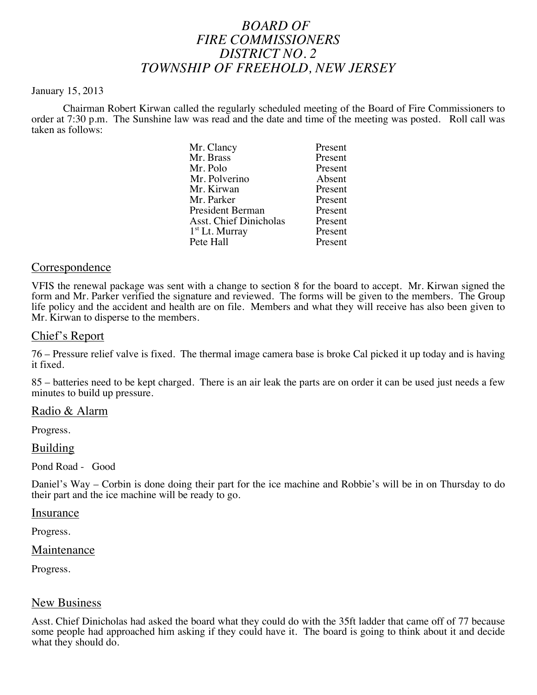# *BOARD OF FIRE COMMISSIONERS DISTRICT NO. 2 TOWNSHIP OF FREEHOLD, NEW JERSEY*

#### January 15, 2013

Chairman Robert Kirwan called the regularly scheduled meeting of the Board of Fire Commissioners to order at 7:30 p.m. The Sunshine law was read and the date and time of the meeting was posted. Roll call was taken as follows:

| Mr. Clancy              | Present |
|-------------------------|---------|
| Mr. Brass               | Present |
| Mr. Polo                | Present |
| Mr. Polverino           | Absent  |
| Mr. Kirwan              | Present |
| Mr. Parker              | Present |
| <b>President Berman</b> | Present |
| Asst. Chief Dinicholas  | Present |
| $1st$ Lt. Murray        | Present |
| Pete Hall               | Present |

# Correspondence

VFIS the renewal package was sent with a change to section 8 for the board to accept. Mr. Kirwan signed the form and Mr. Parker verified the signature and reviewed. The forms will be given to the members. The Group life policy and the accident and health are on file. Members and what they will receive has also been given to Mr. Kirwan to disperse to the members.

## Chief's Report

76 – Pressure relief valve is fixed. The thermal image camera base is broke Cal picked it up today and is having it fixed.

85 – batteries need to be kept charged. There is an air leak the parts are on order it can be used just needs a few minutes to build up pressure.

# Radio & Alarm

Progress.

## Building

Pond Road - Good

Daniel's Way – Corbin is done doing their part for the ice machine and Robbie's will be in on Thursday to do their part and the ice machine will be ready to go.

#### Insurance

Progress.

# **Maintenance**

Progress.

# New Business

Asst. Chief Dinicholas had asked the board what they could do with the 35ft ladder that came off of 77 because some people had approached him asking if they could have it. The board is going to think about it and decide what they should do.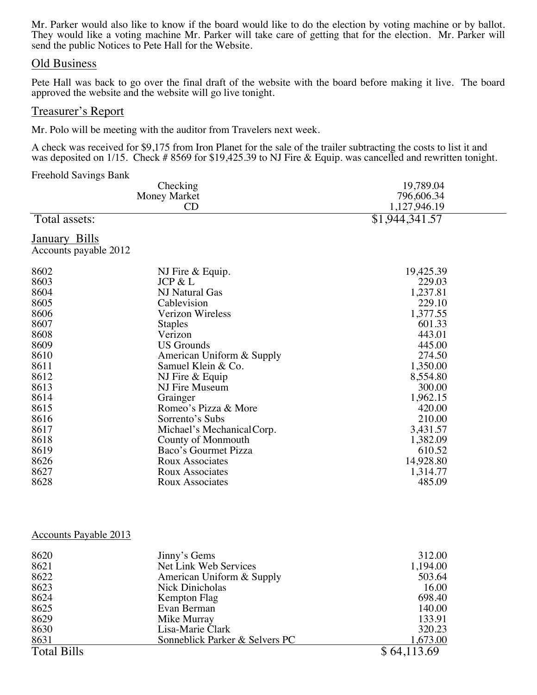Mr. Parker would also like to know if the board would like to do the election by voting machine or by ballot. They would like a voting machine Mr. Parker will take care of getting that for the election. Mr. Parker will send the public Notices to Pete Hall for the Website.

## Old Business

Pete Hall was back to go over the final draft of the website with the board before making it live. The board approved the website and the website will go live tonight.

# Treasurer's Report

Mr. Polo will be meeting with the auditor from Travelers next week.

A check was received for \$9,175 from Iron Planet for the sale of the trailer subtracting the costs to list it and was deposited on 1/15. Check # 8569 for \$19,425.39 to NJ Fire & Equip. was cancelled and rewritten tonight.

Freehold Savings Bank

|                       | Checking                   | 19,789.04      |  |
|-----------------------|----------------------------|----------------|--|
| <b>Money Market</b>   |                            | 796,606.34     |  |
|                       | CD                         | 1,127,946.19   |  |
| Total assets:         |                            | \$1,944,341.57 |  |
| January Bills         |                            |                |  |
| Accounts payable 2012 |                            |                |  |
| 8602                  | NJ Fire & Equip.           | 19,425.39      |  |
| 8603                  | JCP & L                    | 229.03         |  |
| 8604                  | NJ Natural Gas             | 1,237.81       |  |
| 8605                  | Cablevision                | 229.10         |  |
| 8606                  | Verizon Wireless           | 1,377.55       |  |
| 8607                  | <b>Staples</b>             | 601.33         |  |
| 8608                  | Verizon                    | 443.01         |  |
| 8609                  | <b>US</b> Grounds          | 445.00         |  |
| 8610                  | American Uniform & Supply  | 274.50         |  |
| 8611                  | Samuel Klein & Co.         | 1,350.00       |  |
| 8612                  | NJ Fire & Equip            | 8,554.80       |  |
| 8613                  | NJ Fire Museum             | 300.00         |  |
| 8614                  | Grainger                   | 1,962.15       |  |
| 8615                  | Romeo's Pizza & More       | 420.00         |  |
| 8616                  | Sorrento's Subs            | 210.00         |  |
| 8617                  | Michael's Mechanical Corp. | 3,431.57       |  |
| 8618                  | County of Monmouth         | 1,382.09       |  |
| 8619                  | Baco's Gourmet Pizza       | 610.52         |  |
| 8626                  | Roux Associates            | 14,928.80      |  |
| 8627                  | <b>Roux Associates</b>     | 1,314.77       |  |
| 8628                  | Roux Associates            | 485.09         |  |
|                       |                            |                |  |

#### Accounts Payable 2013

| 8620               | Jinny's Gems                   | 312.00      |
|--------------------|--------------------------------|-------------|
| 8621               | Net Link Web Services          | 1,194.00    |
| 8622               | American Uniform & Supply      | 503.64      |
| 8623               | Nick Dinicholas                | 16.00       |
| 8624               | Kempton Flag                   | 698.40      |
| 8625               | Evan Berman                    | 140.00      |
| 8629               | Mike Murray                    | 133.91      |
| 8630               | Lisa-Marie Clark               | 320.23      |
| 8631               | Sonneblick Parker & Selvers PC | 1,673.00    |
| <b>Total Bills</b> |                                | \$64,113.69 |